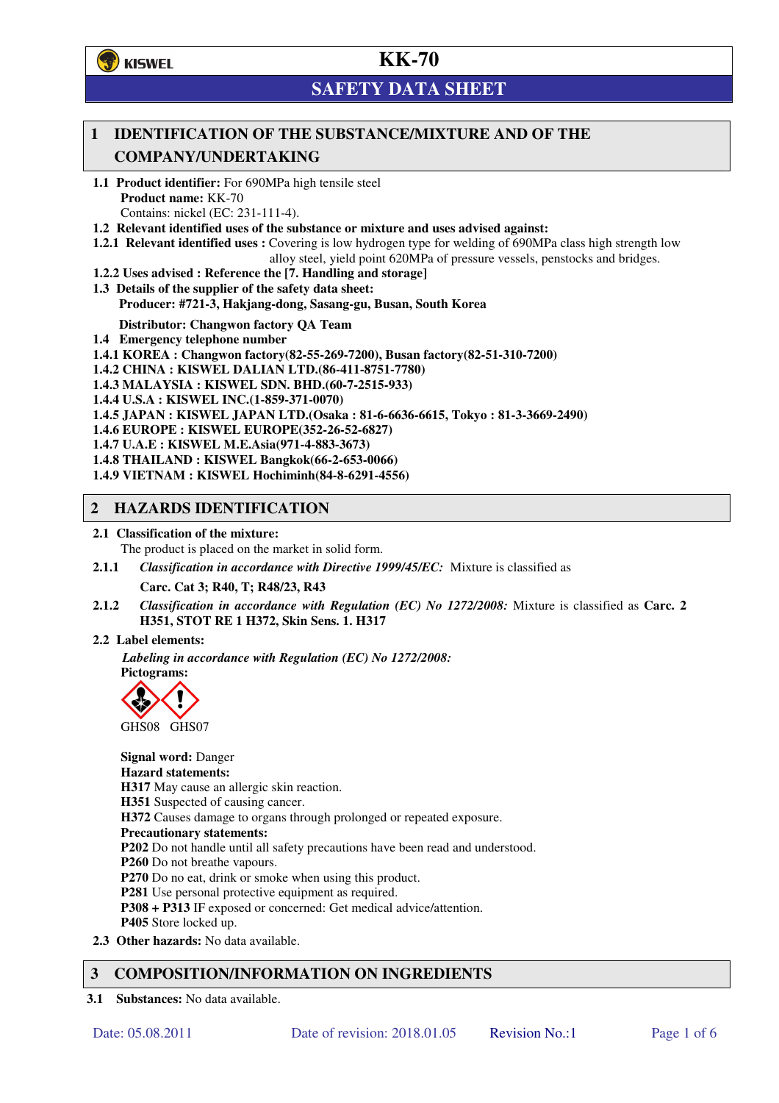**了**KISWEL

# **KK-70**

# **SAFETY DATA SHEET**

## **1 IDENTIFICATION OF THE SUBSTANCE/MIXTURE AND OF THE COMPANY/UNDERTAKING**

- **1.1 Product identifier:** For 690MPa high tensile steel **Product name:** KK-70 Contains: nickel (EC: 231-111-4).
- **1.2 Relevant identified uses of the substance or mixture and uses advised against:**
- **1.2.1 Relevant identified uses :** Covering is low hydrogen type for welding of 690MPa class high strength low alloy steel, yield point 620MPa of pressure vessels, penstocks and bridges.
- **1.2.2 Uses advised : Reference the [7. Handling and storage]**
- **1.3 Details of the supplier of the safety data sheet: Producer: #721-3, Hakjang-dong, Sasang-gu, Busan, South Korea**

**Distributor: Changwon factory QA Team** 

- **1.4 Emergency telephone number**
- **1.4.1 KOREA : Changwon factory(82-55-269-7200), Busan factory(82-51-310-7200)**
- **1.4.2 CHINA : KISWEL DALIAN LTD.(86-411-8751-7780)**
- **1.4.3 MALAYSIA : KISWEL SDN. BHD.(60-7-2515-933)**
- **1.4.4 U.S.A : KISWEL INC.(1-859-371-0070)**
- **1.4.5 JAPAN : KISWEL JAPAN LTD.(Osaka : 81-6-6636-6615, Tokyo : 81-3-3669-2490)**
- **1.4.6 EUROPE : KISWEL EUROPE(352-26-52-6827)**
- **1.4.7 U.A.E : KISWEL M.E.Asia(971-4-883-3673)**
- **1.4.8 THAILAND : KISWEL Bangkok(66-2-653-0066)**
- **1.4.9 VIETNAM : KISWEL Hochiminh(84-8-6291-4556)**

## **2 HAZARDS IDENTIFICATION**

- **2.1 Classification of the mixture:** 
	- The product is placed on the market in solid form.
- **2.1.1** *Classification in accordance with Directive 1999/45/EC:* Mixture is classified as

**Carc. Cat 3; R40, T; R48/23, R43** 

- **2.1.2** *Classification in accordance with Regulation (EC) No 1272/2008:* Mixture is classified as **Carc. 2 H351, STOT RE 1 H372, Skin Sens. 1. H317**
- **2.2 Label elements:**

*Labeling in accordance with Regulation (EC) No 1272/2008:*  **Pictograms:** 



**Signal word:** Danger **Hazard statements: H317** May cause an allergic skin reaction. **H351** Suspected of causing cancer. **H372** Causes damage to organs through prolonged or repeated exposure. **Precautionary statements: P202** Do not handle until all safety precautions have been read and understood. **P260** Do not breathe vapours. **P270** Do no eat, drink or smoke when using this product. **P281** Use personal protective equipment as required. **P308 + P313** IF exposed or concerned: Get medical advice/attention. **P405** Store locked up. **2.3 Other hazards:** No data available.

## **3 COMPOSITION/INFORMATION ON INGREDIENTS**

**3.1 Substances:** No data available.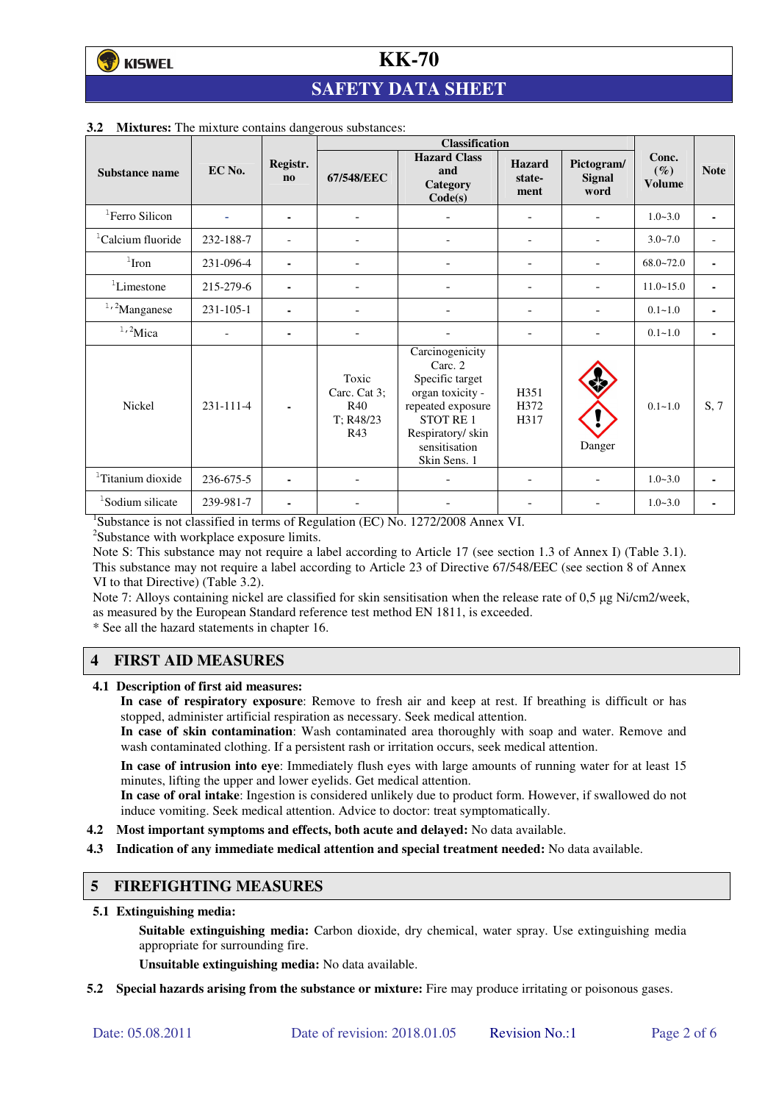# **SAFETY DATA SHEET**

|                               |                 |                          | <b>Classification</b>                            |                                                                                                                                                          |                                 |                                     |                                  |                |
|-------------------------------|-----------------|--------------------------|--------------------------------------------------|----------------------------------------------------------------------------------------------------------------------------------------------------------|---------------------------------|-------------------------------------|----------------------------------|----------------|
| Substance name                | EC No.          | Registr.<br>$\mathbf{n}$ | 67/548/EEC                                       | <b>Hazard Class</b><br>and<br>Category<br>Code(s)                                                                                                        | <b>Hazard</b><br>state-<br>ment | Pictogram/<br><b>Signal</b><br>word | Conc.<br>$(\%)$<br><b>Volume</b> | <b>Note</b>    |
| <sup>1</sup> Ferro Silicon    |                 | ۰                        | $\overline{\phantom{a}}$                         |                                                                                                                                                          | ÷                               | $\overline{\phantom{0}}$            | $1.0 - 3.0$                      | ٠              |
| <sup>1</sup> Calcium fluoride | 232-188-7       |                          |                                                  |                                                                                                                                                          |                                 |                                     | $3.0 - 7.0$                      |                |
| $1$ Iron                      | 231-096-4       |                          |                                                  |                                                                                                                                                          | $\overline{a}$                  |                                     | $68.0 - 72.0$                    | $\blacksquare$ |
| ${}^{1}$ Limestone            | 215-279-6       | ۰                        | ٠                                                |                                                                                                                                                          | Ξ.                              |                                     | $11.0 - 15.0$                    | $\blacksquare$ |
| $1,2$ Manganese               | $231 - 105 - 1$ |                          |                                                  |                                                                                                                                                          |                                 |                                     | $0.1 - 1.0$                      |                |
| $1,2$ Mica                    |                 | ۰                        |                                                  |                                                                                                                                                          |                                 |                                     | $0.1 - 1.0$                      | ٠              |
| <b>Nickel</b>                 | 231-111-4       |                          | Toxic<br>Carc. Cat 3;<br>R40<br>T: R48/23<br>R43 | Carcinogenicity<br>Carc. 2<br>Specific target<br>organ toxicity -<br>repeated exposure<br>STOT RE1<br>Respiratory/ skin<br>sensitisation<br>Skin Sens. 1 | H351<br>H372<br>H317            | Danger                              | $0.1 - 1.0$                      | S, 7           |
| <sup>1</sup> Titanium dioxide | 236-675-5       |                          |                                                  |                                                                                                                                                          |                                 |                                     | $1.0 - 3.0$                      | ۰              |
| <sup>1</sup> Sodium silicate  | 239-981-7       | ٠                        |                                                  |                                                                                                                                                          |                                 |                                     | $1.0 - 3.0$                      |                |

#### **3.2 Mixtures:** The mixture contains dangerous substances:

<sup>1</sup>Substance is not classified in terms of Regulation (EC) No. 1272/2008 Annex VI.

<sup>2</sup>Substance with workplace exposure limits.

Note S: This substance may not require a label according to Article 17 (see section 1.3 of Annex I) (Table 3.1). This substance may not require a label according to Article 23 of Directive 67/548/EEC (see section 8 of Annex VI to that Directive) (Table 3.2).

Note 7: Alloys containing nickel are classified for skin sensitisation when the release rate of 0,5 µg Ni/cm2/week, as measured by the European Standard reference test method EN 1811, is exceeded.

\* See all the hazard statements in chapter 16.

## **4 FIRST AID MEASURES**

**4.1 Description of first aid measures:** 

**In case of respiratory exposure**: Remove to fresh air and keep at rest. If breathing is difficult or has stopped, administer artificial respiration as necessary. Seek medical attention.

**In case of skin contamination**: Wash contaminated area thoroughly with soap and water. Remove and wash contaminated clothing. If a persistent rash or irritation occurs, seek medical attention.

 **In case of intrusion into eye**: Immediately flush eyes with large amounts of running water for at least 15 minutes, lifting the upper and lower eyelids. Get medical attention.

**In case of oral intake**: Ingestion is considered unlikely due to product form. However, if swallowed do not induce vomiting. Seek medical attention. Advice to doctor: treat symptomatically.

- **4.2 Most important symptoms and effects, both acute and delayed:** No data available.
- **4.3 Indication of any immediate medical attention and special treatment needed:** No data available.

#### **5 FIREFIGHTING MEASURES**

**5.1 Extinguishing media:** 

**Suitable extinguishing media:** Carbon dioxide, dry chemical, water spray. Use extinguishing media appropriate for surrounding fire.

**Unsuitable extinguishing media:** No data available.

**5.2 Special hazards arising from the substance or mixture:** Fire may produce irritating or poisonous gases.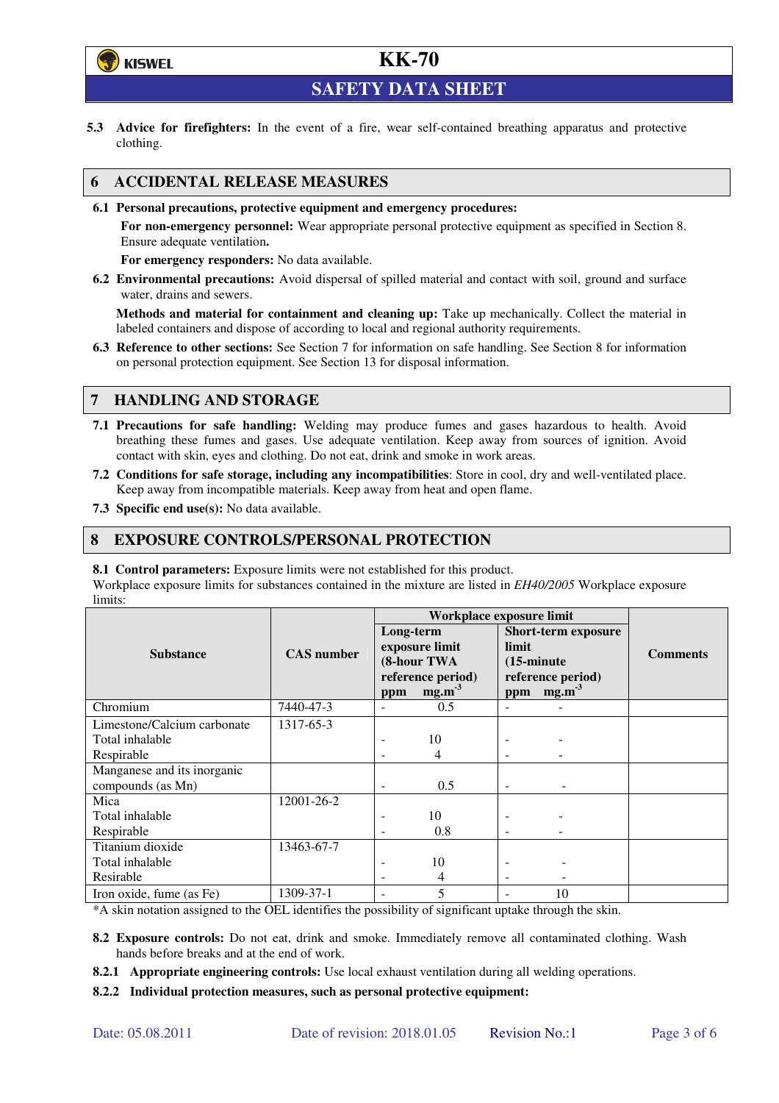

**SAFETY DATA SHEET** 

**5.3 Advice for firefighters:** In the event of a fire, wear self-contained breathing apparatus and protective clothing.

## **6 ACCIDENTAL RELEASE MEASURES**

**6.1 Personal precautions, protective equipment and emergency procedures:** 

**For non-emergency personnel:** Wear appropriate personal protective equipment as specified in Section 8. Ensure adequate ventilation**.** 

**For emergency responders:** No data available.

**6.2 Environmental precautions:** Avoid dispersal of spilled material and contact with soil, ground and surface water, drains and sewers.

**Methods and material for containment and cleaning up:** Take up mechanically. Collect the material in labeled containers and dispose of according to local and regional authority requirements.

**6.3 Reference to other sections:** See Section 7 for information on safe handling. See Section 8 for information on personal protection equipment. See Section 13 for disposal information.

## **7 HANDLING AND STORAGE**

- **7.1 Precautions for safe handling:** Welding may produce fumes and gases hazardous to health. Avoid breathing these fumes and gases. Use adequate ventilation. Keep away from sources of ignition. Avoid contact with skin, eyes and clothing. Do not eat, drink and smoke in work areas.
- **7.2 Conditions for safe storage, including any incompatibilities**: Store in cool, dry and well-ventilated place. Keep away from incompatible materials. Keep away from heat and open flame.
- **7.3 Specific end use(s):** No data available.

### **8 EXPOSURE CONTROLS/PERSONAL PROTECTION**

**8.1 Control parameters:** Exposure limits were not established for this product.

Workplace exposure limits for substances contained in the mixture are listed in *EH40/2005* Workplace exposure limits:

|                             |                   | Workplace exposure limit                                        |                         |                                                                                  |                   |                 |  |
|-----------------------------|-------------------|-----------------------------------------------------------------|-------------------------|----------------------------------------------------------------------------------|-------------------|-----------------|--|
|                             |                   | Long-term<br>exposure limit<br>(8-hour TWA<br>reference period) |                         | <b>Short-term exposure</b><br>limit<br>$(15\text{-minute})$<br>reference period) |                   | <b>Comments</b> |  |
| <b>Substance</b>            | <b>CAS</b> number |                                                                 |                         |                                                                                  |                   |                 |  |
|                             |                   |                                                                 |                         |                                                                                  |                   |                 |  |
|                             |                   |                                                                 |                         |                                                                                  |                   |                 |  |
|                             |                   | ppm                                                             | mg.m <sup>3</sup>       | ppm                                                                              | mg.m <sup>3</sup> |                 |  |
| Chromium                    | 7440-47-3         |                                                                 | 0.5                     |                                                                                  |                   |                 |  |
| Limestone/Calcium carbonate | 1317-65-3         |                                                                 |                         |                                                                                  |                   |                 |  |
| Total inhalable             |                   |                                                                 | 10                      |                                                                                  |                   |                 |  |
| Respirable                  |                   |                                                                 | 4                       |                                                                                  |                   |                 |  |
| Manganese and its inorganic |                   |                                                                 |                         |                                                                                  |                   |                 |  |
| compounds (as Mn)           |                   | $\overline{\phantom{0}}$                                        | 0.5                     | $\qquad \qquad -$                                                                |                   |                 |  |
| Mica                        | 12001-26-2        |                                                                 |                         |                                                                                  |                   |                 |  |
| Total inhalable             |                   |                                                                 | 10                      |                                                                                  |                   |                 |  |
| Respirable                  |                   |                                                                 | 0.8                     |                                                                                  |                   |                 |  |
| Titanium dioxide            | 13463-67-7        |                                                                 |                         |                                                                                  |                   |                 |  |
| Total inhalable             |                   |                                                                 | 10                      |                                                                                  |                   |                 |  |
| Resirable                   |                   |                                                                 | 4                       |                                                                                  |                   |                 |  |
| Iron oxide, fume (as Fe)    | 1309-37-1         |                                                                 | $\overline{\mathbf{S}}$ |                                                                                  | 10                |                 |  |

\*A skin notation assigned to the OEL identifies the possibility of significant uptake through the skin.

- **8.2 Exposure controls:** Do not eat, drink and smoke. Immediately remove all contaminated clothing. Wash hands before breaks and at the end of work.
- **8.2.1 Appropriate engineering controls:** Use local exhaust ventilation during all welding operations.

**8.2.2 Individual protection measures, such as personal protective equipment:**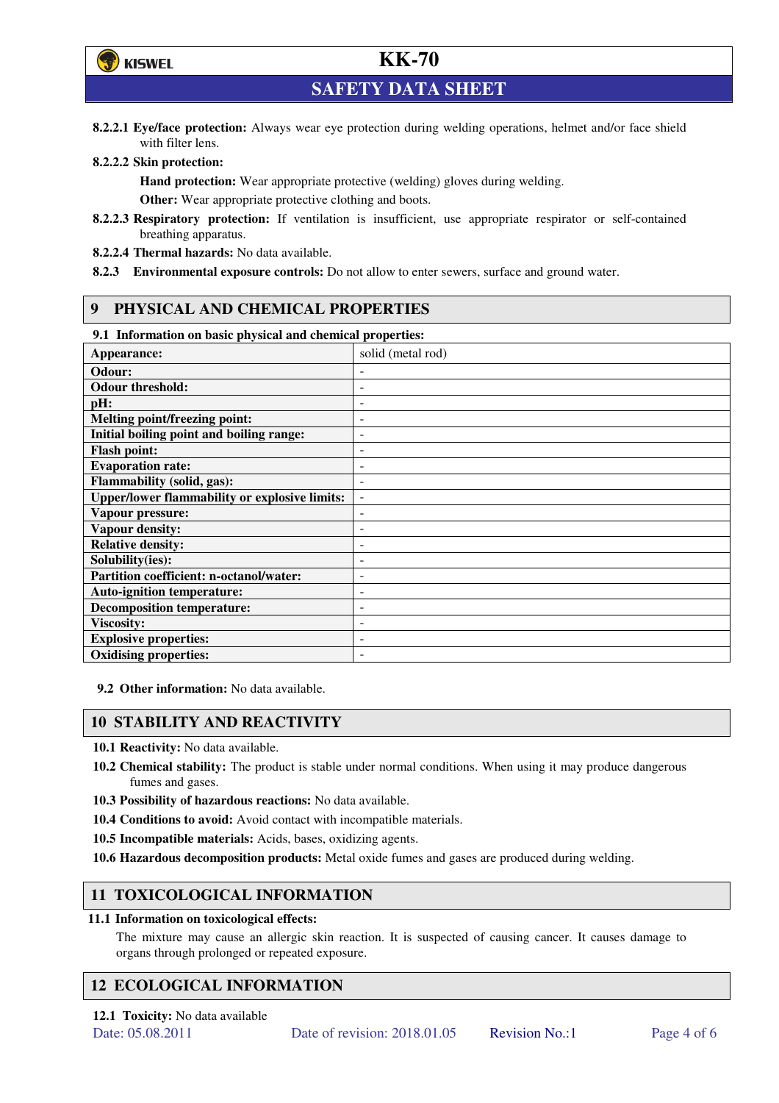

**SAFETY DATA SHEET** 

**8.2.2.1 Eye/face protection:** Always wear eye protection during welding operations, helmet and/or face shield with filter lens.

#### **8.2.2.2 Skin protection:**

**Hand protection:** Wear appropriate protective (welding) gloves during welding. **Other:** Wear appropriate protective clothing and boots.

- **8.2.2.3 Respiratory protection:** If ventilation is insufficient, use appropriate respirator or self-contained breathing apparatus.
- **8.2.2.4 Thermal hazards:** No data available.
- **8.2.3 Environmental exposure controls:** Do not allow to enter sewers, surface and ground water.

## **9 PHYSICAL AND CHEMICAL PROPERTIES**

### **9.1 Information on basic physical and chemical properties:**

| эт тигериштери он ошоге рнузкий ини сисписат ргорегисэт<br>Appearance: | solid (metal rod)        |
|------------------------------------------------------------------------|--------------------------|
| Odour:                                                                 |                          |
| <b>Odour threshold:</b>                                                | ٠                        |
| pH:                                                                    | ۰                        |
| Melting point/freezing point:                                          | $\overline{\phantom{a}}$ |
| Initial boiling point and boiling range:                               | $\overline{\phantom{a}}$ |
| <b>Flash point:</b>                                                    | ۰                        |
| <b>Evaporation rate:</b>                                               | ۰                        |
| <b>Flammability (solid, gas):</b>                                      |                          |
| <b>Upper/lower flammability or explosive limits:</b>                   | $\overline{\phantom{a}}$ |
| Vapour pressure:                                                       | ٠                        |
| <b>Vapour density:</b>                                                 | ۰                        |
| <b>Relative density:</b>                                               |                          |
| Solubility(ies):                                                       |                          |
| Partition coefficient: n-octanol/water:                                | $\overline{\phantom{a}}$ |
| <b>Auto-ignition temperature:</b>                                      | ۰                        |
| <b>Decomposition temperature:</b>                                      | ۰                        |
| <b>Viscosity:</b>                                                      |                          |
| <b>Explosive properties:</b>                                           | $\overline{\phantom{a}}$ |
| <b>Oxidising properties:</b>                                           | ۰                        |

**9.2 Other information:** No data available.

#### **10 STABILITY AND REACTIVITY**

**10.1 Reactivity:** No data available.

- **10.2 Chemical stability:** The product is stable under normal conditions. When using it may produce dangerous fumes and gases.
- **10.3 Possibility of hazardous reactions:** No data available.
- **10.4 Conditions to avoid:** Avoid contact with incompatible materials.
- **10.5 Incompatible materials:** Acids, bases, oxidizing agents.
- **10.6 Hazardous decomposition products:** Metal oxide fumes and gases are produced during welding.

## **11 TOXICOLOGICAL INFORMATION**

#### **11.1 Information on toxicological effects:**

The mixture may cause an allergic skin reaction. It is suspected of causing cancer. It causes damage to organs through prolonged or repeated exposure.

## **12 ECOLOGICAL INFORMATION**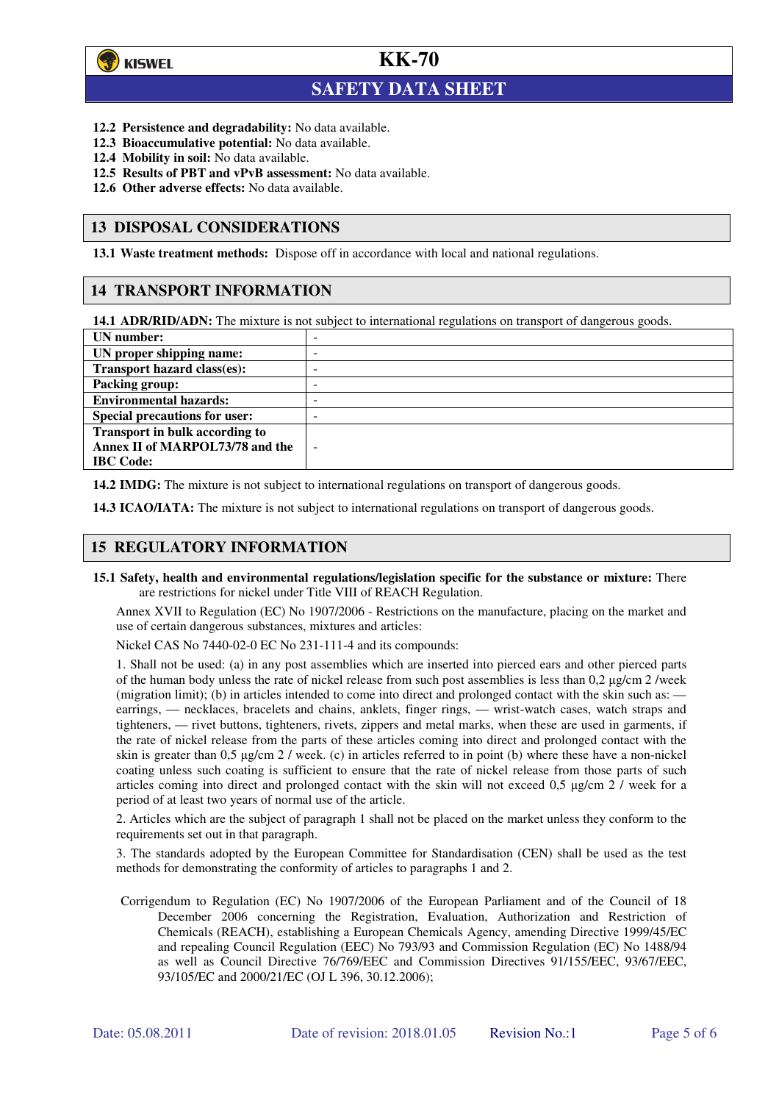

 $\overline{a}$ 

# **KK-70**

## **SAFETY DATA SHEET**

- **12.2 Persistence and degradability:** No data available.
- **12.3 Bioaccumulative potential:** No data available.
- **12.4 Mobility in soil:** No data available.
- **12.5 Results of PBT and vPvB assessment:** No data available.
- **12.6 Other adverse effects:** No data available.

### **13 DISPOSAL CONSIDERATIONS**

**13.1 Waste treatment methods:** Dispose off in accordance with local and national regulations.

## **14 TRANSPORT INFORMATION**

**14.1 ADR/RID/ADN:** The mixture is not subject to international regulations on transport of dangerous goods.

| UN number:                            | - |
|---------------------------------------|---|
| UN proper shipping name:              | - |
| Transport hazard class(es):           | - |
| <b>Packing group:</b>                 | - |
| <b>Environmental hazards:</b>         | - |
| <b>Special precautions for user:</b>  | - |
| <b>Transport in bulk according to</b> |   |
| Annex II of MARPOL73/78 and the       | ÷ |
| <b>IBC</b> Code:                      |   |

**14.2 IMDG:** The mixture is not subject to international regulations on transport of dangerous goods.

**14.3 ICAO/IATA:** The mixture is not subject to international regulations on transport of dangerous goods.

## **15 REGULATORY INFORMATION**

**15.1 Safety, health and environmental regulations/legislation specific for the substance or mixture:** There are restrictions for nickel under Title VIII of REACH Regulation.

Annex XVII to Regulation (EC) No 1907/2006 - Restrictions on the manufacture, placing on the market and use of certain dangerous substances, mixtures and articles:

Nickel CAS No 7440-02-0 EC No 231-111-4 and its compounds:

1. Shall not be used: (a) in any post assemblies which are inserted into pierced ears and other pierced parts of the human body unless the rate of nickel release from such post assemblies is less than  $0.2 \mu$ g/cm  $2$ /week (migration limit); (b) in articles intended to come into direct and prolonged contact with the skin such as: earrings, — necklaces, bracelets and chains, anklets, finger rings, — wrist-watch cases, watch straps and tighteners, — rivet buttons, tighteners, rivets, zippers and metal marks, when these are used in garments, if the rate of nickel release from the parts of these articles coming into direct and prolonged contact with the skin is greater than 0,5 µg/cm 2 / week. (c) in articles referred to in point (b) where these have a non-nickel coating unless such coating is sufficient to ensure that the rate of nickel release from those parts of such articles coming into direct and prolonged contact with the skin will not exceed 0,5 µg/cm 2 / week for a period of at least two years of normal use of the article.

2. Articles which are the subject of paragraph 1 shall not be placed on the market unless they conform to the requirements set out in that paragraph.

3. The standards adopted by the European Committee for Standardisation (CEN) shall be used as the test methods for demonstrating the conformity of articles to paragraphs 1 and 2.

Corrigendum to Regulation (EC) No 1907/2006 of the European Parliament and of the Council of 18 December 2006 concerning the Registration, Evaluation, Authorization and Restriction of Chemicals (REACH), establishing a European Chemicals Agency, amending Directive 1999/45/EC and repealing Council Regulation (EEC) No 793/93 and Commission Regulation (EC) No 1488/94 as well as Council Directive 76/769/EEC and Commission Directives 91/155/EEC, 93/67/EEC, 93/105/EC and 2000/21/EC (OJ L 396, 30.12.2006);